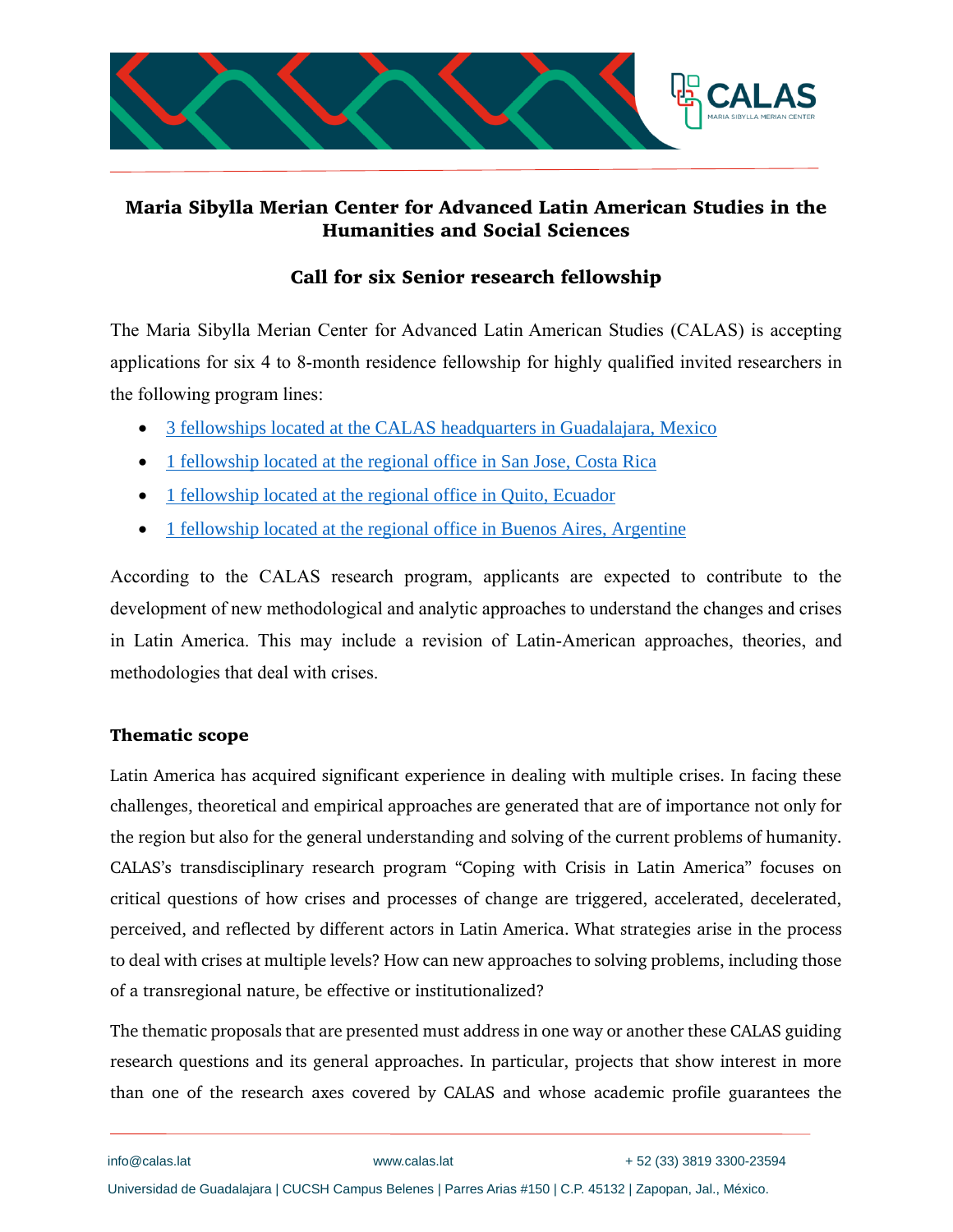

# **Maria Sibylla Merian Center for Advanced Latin American Studies in the Humanities and Social Sciences**

# **Call for six Senior research fellowship**

The Maria Sibylla Merian Center for Advanced Latin American Studies (CALAS) is accepting applications for six 4 to 8-month residence fellowship for highly qualified invited researchers in the following program lines:

- [3 fellowships located at the CALAS headquarters in Guadalajara, Mexico](http://www.calas.lat/en/node/2360)
- [1 fellowship located at the regional office in San Jose, Costa Rica](http://www.calas.lat/en/node/2361)
- [1 fellowship located at the regional office in Quito, Ecuador](http://www.calas.lat/en/node/2362)
- [1 fellowship located at the regional office in Buenos Aires, Argentine](http://www.calas.lat/es/node/2363)

According to the CALAS research program, applicants are expected to contribute to the development of new methodological and analytic approaches to understand the changes and crises in Latin America. This may include a revision of Latin-American approaches, theories, and methodologies that deal with crises.

## **Thematic scope**

Latin America has acquired significant experience in dealing with multiple crises. In facing these challenges, theoretical and empirical approaches are generated that are of importance not only for the region but also for the general understanding and solving of the current problems of humanity. CALAS's transdisciplinary research program "Coping with Crisis in Latin America" focuses on critical questions of how crises and processes of change are triggered, accelerated, decelerated, perceived, and reflected by different actors in Latin America. What strategies arise in the process to deal with crises at multiple levels? How can new approaches to solving problems, including those of a transregional nature, be effective or institutionalized?

The thematic proposals that are presented must address in one way or another these CALAS guiding research questions and its general approaches. In particular, projects that show interest in more than one of the research axes covered by CALAS and whose academic profile guarantees the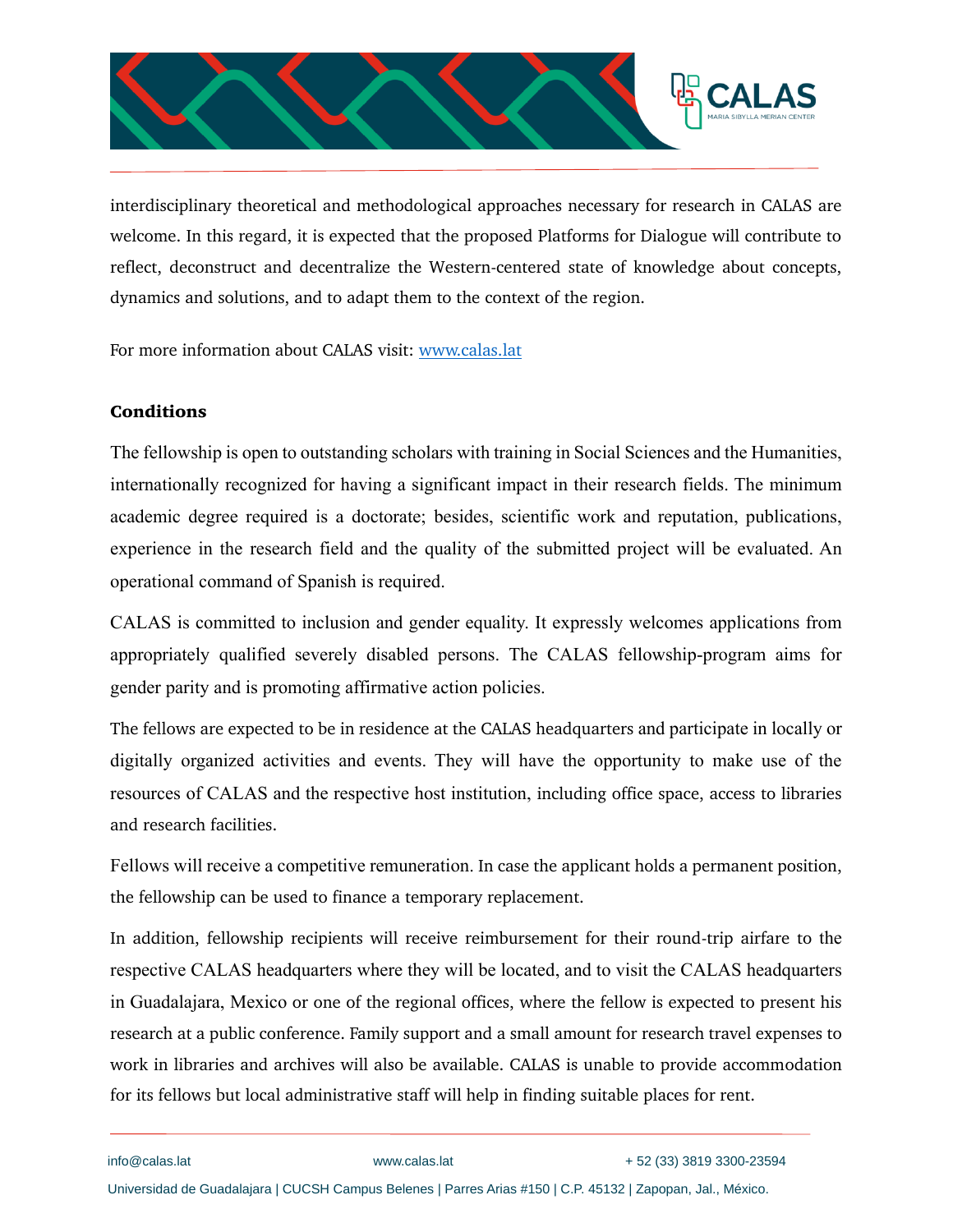

interdisciplinary theoretical and methodological approaches necessary for research in CALAS are welcome. In this regard, it is expected that the proposed Platforms for Dialogue will contribute to reflect, deconstruct and decentralize the Western-centered state of knowledge about concepts, dynamics and solutions, and to adapt them to the context of the region.

For more information about CALAS visit: [www.calas.lat](http://www.calas.lat/)

### **Conditions**

The fellowship is open to outstanding scholars with training in Social Sciences and the Humanities, internationally recognized for having a significant impact in their research fields. The minimum academic degree required is a doctorate; besides, scientific work and reputation, publications, experience in the research field and the quality of the submitted project will be evaluated. An operational command of Spanish is required.

CALAS is committed to inclusion and gender equality. It expressly welcomes applications from appropriately qualified severely disabled persons. The CALAS fellowship-program aims for gender parity and is promoting affirmative action policies.

The fellows are expected to be in residence at the CALAS headquarters and participate in locally or digitally organized activities and events. They will have the opportunity to make use of the resources of CALAS and the respective host institution, including office space, access to libraries and research facilities.

Fellows will receive a competitive remuneration. In case the applicant holds a permanent position, the fellowship can be used to finance a temporary replacement.

In addition, fellowship recipients will receive reimbursement for their round-trip airfare to the respective CALAS headquarters where they will be located, and to visit the CALAS headquarters in Guadalajara, Mexico or one of the regional offices, where the fellow is expected to present his research at a public conference. Family support and a small amount for research travel expenses to work in libraries and archives will also be available. CALAS is unable to provide accommodation for its fellows but local administrative staff will help in finding suitable places for rent.